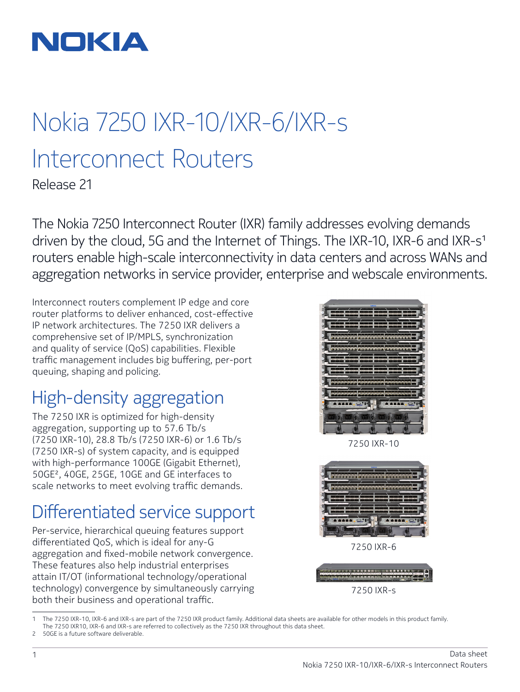

# Nokia 7250 IXR-10/IXR-6/IXR-s Interconnect Routers

Release 21

The Nokia 7250 Interconnect Router (IXR) family addresses evolving demands driven by the cloud, 5G and the Internet of Things. The IXR-10, IXR-6 and IXR-s<sup>1</sup> routers enable high-scale interconnectivity in data centers and across WANs and aggregation networks in service provider, enterprise and webscale environments.

Interconnect routers complement IP edge and core router platforms to deliver enhanced, cost-effective IP network architectures. The 7250 IXR delivers a comprehensive set of IP/MPLS, synchronization and quality of service (QoS) capabilities. Flexible traffic management includes big buffering, per-port queuing, shaping and policing.

### High-density aggregation

The 7250 IXR is optimized for high-density aggregation, supporting up to 57.6 Tb/s (7250 IXR-10), 28.8 Tb/s (7250 IXR-6) or 1.6 Tb/s (7250 IXR-s) of system capacity, and is equipped with high-performance 100GE (Gigabit Ethernet), 50GE2, 40GE, 25GE, 10GE and GE interfaces to scale networks to meet evolving traffic demands.

### Differentiated service support

Per-service, hierarchical queuing features support differentiated QoS, which is ideal for any-G aggregation and fixed-mobile network convergence. These features also help industrial enterprises attain IT/OT (informational technology/operational technology) convergence by simultaneously carrying both their business and operational traffic.



7250 IXR-10



7250 IXR-6



<sup>1</sup> The 7250 IXR-10, IXR-6 and IXR-s are part of the 7250 IXR product family. Additional data sheets are available for other models in this product family. The 7250 IXR10, IXR-6 and IXR-s are referred to collectively as the 7250 IXR throughout this data sheet.

<sup>2</sup> 50GE is a future software deliverable.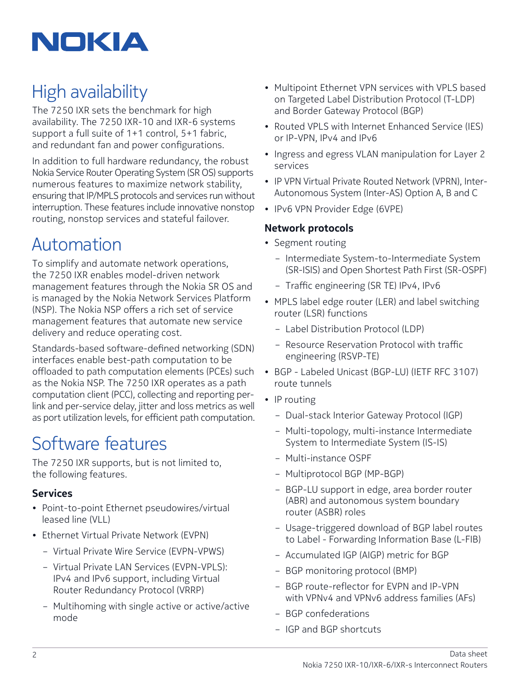

### High availability

The 7250 IXR sets the benchmark for high availability. The 7250 IXR-10 and IXR-6 systems support a full suite of 1+1 control, 5+1 fabric, and redundant fan and power configurations.

In addition to full hardware redundancy, the robust Nokia Service Router Operating System (SR OS) supports numerous features to maximize network stability, ensuring that IP/MPLS protocols and services run without interruption. These features include innovative nonstop routing, nonstop services and stateful failover.

### Automation

To simplify and automate network operations, the 7250 IXR enables model-driven network management features through the Nokia SR OS and is managed by the Nokia Network Services Platform (NSP). The Nokia NSP offers a rich set of service management features that automate new service delivery and reduce operating cost.

Standards-based software-defined networking (SDN) interfaces enable best-path computation to be offloaded to path computation elements (PCEs) such as the Nokia NSP. The 7250 IXR operates as a path computation client (PCC), collecting and reporting perlink and per-service delay, jitter and loss metrics as well as port utilization levels, for efficient path computation.

### Software features

The 7250 IXR supports, but is not limited to, the following features.

### **Services**

- Point-to-point Ethernet pseudowires/virtual leased line (VLL)
- Ethernet Virtual Private Network (EVPN)
	- Virtual Private Wire Service (EVPN-VPWS)
	- Virtual Private LAN Services (EVPN-VPLS): IPv4 and IPv6 support, including Virtual Router Redundancy Protocol (VRRP)
	- Multihoming with single active or active/active mode
- Multipoint Ethernet VPN services with VPLS based on Targeted Label Distribution Protocol (T-LDP) and Border Gateway Protocol (BGP)
- Routed VPLS with Internet Enhanced Service (IES) or IP-VPN, IPv4 and IPv6
- Ingress and egress VLAN manipulation for Layer 2 services
- IP VPN Virtual Private Routed Network (VPRN), Inter-Autonomous System (Inter-AS) Option A, B and C
- IPv6 VPN Provider Edge (6VPE)

#### **Network protocols**

- Segment routing
	- Intermediate System-to-Intermediate System (SR-ISIS) and Open Shortest Path First (SR-OSPF)
	- Traffic engineering (SR TE) IPv4, IPv6
- MPLS label edge router (LER) and label switching router (LSR) functions
	- Label Distribution Protocol (LDP)
	- Resource Reservation Protocol with traffic engineering (RSVP-TE)
- BGP Labeled Unicast (BGP-LU) (IETF RFC 3107) route tunnels
- IP routing
	- Dual-stack Interior Gateway Protocol (IGP)
	- Multi-topology, multi-instance Intermediate System to Intermediate System (IS-IS)
	- Multi-instance OSPF
	- Multiprotocol BGP (MP-BGP)
	- BGP-LU support in edge, area border router (ABR) and autonomous system boundary router (ASBR) roles
	- Usage-triggered download of BGP label routes to Label - Forwarding Information Base (L-FIB)
	- Accumulated IGP (AIGP) metric for BGP
	- BGP monitoring protocol (BMP)
	- BGP route-reflector for EVPN and IP-VPN with VPNv4 and VPNv6 address families (AFs)
	- BGP confederations
	- IGP and BGP shortcuts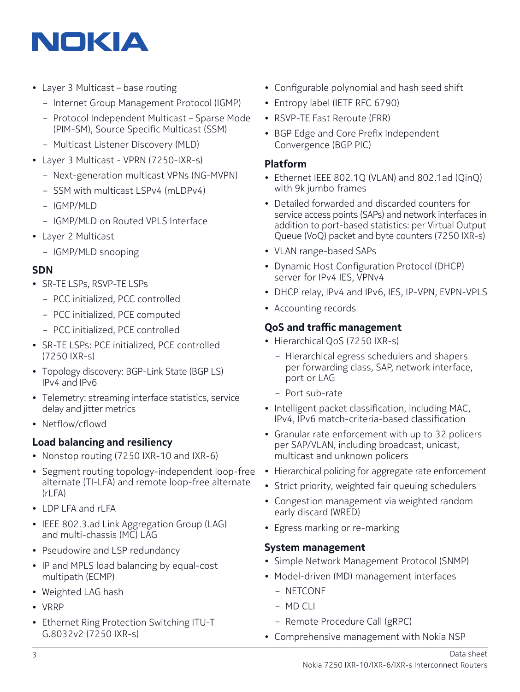## NOKIA

- Layer 3 Multicast base routing
	- Internet Group Management Protocol (IGMP)
	- Protocol Independent Multicast Sparse Mode (PIM-SM), Source Specific Multicast (SSM)
	- Multicast Listener Discovery (MLD)
- Layer 3 Multicast VPRN (7250-IXR-s)
	- Next-generation multicast VPNs (NG-MVPN)
	- SSM with multicast LSPv4 (mLDPv4)
	- IGMP/MLD
	- IGMP/MLD on Routed VPLS Interface
- Layer 2 Multicast
	- IGMP/MLD snooping

### **SDN**

- SR-TE LSPs, RSVP-TE LSPs
	- PCC initialized, PCC controlled
	- PCC initialized, PCE computed
	- PCC initialized, PCE controlled
- SR-TE LSPs: PCE initialized, PCE controlled (7250 IXR-s)
- Topology discovery: BGP-Link State (BGP LS) IPv4 and IPv6
- Telemetry: streaming interface statistics, service delay and jitter metrics
- Netflow/cflowd

### **Load balancing and resiliency**

- Nonstop routing (7250 IXR-10 and IXR-6)
- Segment routing topology-independent loop-free alternate (TI-LFA) and remote loop-free alternate (rLFA)
- LDP LFA and rLFA
- IEEE 802.3.ad Link Aggregation Group (LAG) and multi-chassis (MC) LAG
- Pseudowire and LSP redundancy
- IP and MPLS load balancing by equal-cost multipath (ECMP)
- Weighted LAG hash
- VRRP
- Ethernet Ring Protection Switching ITU-T G.8032v2 (7250 IXR-s)
- Configurable polynomial and hash seed shift
- Entropy label (IETF RFC 6790)
- RSVP-TE Fast Reroute (FRR)
- BGP Edge and Core Prefix Independent Convergence (BGP PIC)

### **Platform**

- Ethernet IEEE 802.1Q (VLAN) and 802.1ad (QinQ) with 9k jumbo frames
- Detailed forwarded and discarded counters for service access points (SAPs) and network interfaces in addition to port-based statistics: per Virtual Output Queue (VoQ) packet and byte counters (7250 IXR-s)
- VLAN range-based SAPs
- Dynamic Host Configuration Protocol (DHCP) server for IPv4 IES, VPNv4
- DHCP relay, IPv4 and IPv6, IES, IP-VPN, EVPN-VPLS
- Accounting records

### **QoS and traffic management**

- Hierarchical QoS (7250 IXR-s)
	- Hierarchical egress schedulers and shapers per forwarding class, SAP, network interface, port or LAG
	- Port sub-rate
- Intelligent packet classification, including MAC, IPv4, IPv6 match-criteria-based classification
- Granular rate enforcement with up to 32 policers per SAP/VLAN, including broadcast, unicast, multicast and unknown policers
- Hierarchical policing for aggregate rate enforcement
- Strict priority, weighted fair queuing schedulers
- Congestion management via weighted random early discard (WRED)
- Egress marking or re-marking

#### **System management**

- Simple Network Management Protocol (SNMP)
- Model-driven (MD) management interfaces
	- NETCONF
	- MD CLI
	- Remote Procedure Call (gRPC)
- Comprehensive management with Nokia NSP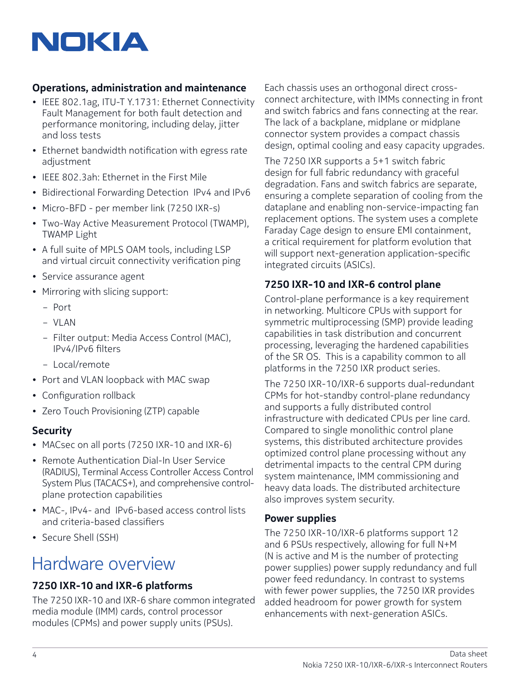# NOKIA

### **Operations, administration and maintenance**

- IEEE 802.1ag, ITU-T Y.1731: Ethernet Connectivity Fault Management for both fault detection and performance monitoring, including delay, jitter and loss tests
- Ethernet bandwidth notification with egress rate adjustment
- IEEE 802.3ah: Ethernet in the First Mile
- Bidirectional Forwarding Detection IPv4 and IPv6
- Micro-BFD per member link (7250 IXR-s)
- Two-Way Active Measurement Protocol (TWAMP), TWAMP Light
- A full suite of MPLS OAM tools, including LSP and virtual circuit connectivity verification ping
- Service assurance agent
- Mirroring with slicing support:
	- Port
	- VLAN
	- Filter output: Media Access Control (MAC), IPv4/IPv6 filters
	- Local/remote
- Port and VLAN loopback with MAC swap
- Configuration rollback
- Zero Touch Provisioning (ZTP) capable

### **Security**

- MACsec on all ports (7250 IXR-10 and IXR-6)
- Remote Authentication Dial-In User Service (RADIUS), Terminal Access Controller Access Control System Plus (TACACS+), and comprehensive controlplane protection capabilities
- MAC-, IPv4- and IPv6-based access control lists and criteria-based classifiers
- Secure Shell (SSH)

### Hardware overview

### **7250 IXR-10 and IXR-6 platforms**

The 7250 IXR-10 and IXR-6 share common integrated media module (IMM) cards, control processor modules (CPMs) and power supply units (PSUs).

Each chassis uses an orthogonal direct crossconnect architecture, with IMMs connecting in front and switch fabrics and fans connecting at the rear. The lack of a backplane, midplane or midplane connector system provides a compact chassis design, optimal cooling and easy capacity upgrades.

The 7250 IXR supports a 5+1 switch fabric design for full fabric redundancy with graceful degradation. Fans and switch fabrics are separate, ensuring a complete separation of cooling from the dataplane and enabling non-service-impacting fan replacement options. The system uses a complete Faraday Cage design to ensure EMI containment, a critical requirement for platform evolution that will support next-generation application-specific integrated circuits (ASICs).

### **7250 IXR-10 and IXR-6 control plane**

Control-plane performance is a key requirement in networking. Multicore CPUs with support for symmetric multiprocessing (SMP) provide leading capabilities in task distribution and concurrent processing, leveraging the hardened capabilities of the SR OS. This is a capability common to all platforms in the 7250 IXR product series.

The 7250 IXR-10/IXR-6 supports dual-redundant CPMs for hot-standby control-plane redundancy and supports a fully distributed control infrastructure with dedicated CPUs per line card. Compared to single monolithic control plane systems, this distributed architecture provides optimized control plane processing without any detrimental impacts to the central CPM during system maintenance, IMM commissioning and heavy data loads. The distributed architecture also improves system security.

### **Power supplies**

The 7250 IXR-10/IXR-6 platforms support 12 and 6 PSUs respectively, allowing for full N+M (N is active and M is the number of protecting power supplies) power supply redundancy and full power feed redundancy. In contrast to systems with fewer power supplies, the 7250 IXR provides added headroom for power growth for system enhancements with next-generation ASICs.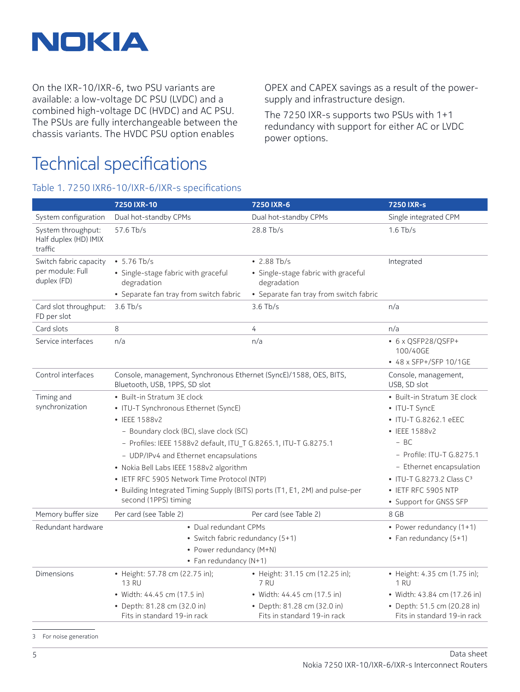

On the IXR-10/IXR-6, two PSU variants are available: a low-voltage DC PSU (LVDC) and a combined high-voltage DC (HVDC) and AC PSU. The PSUs are fully interchangeable between the chassis variants. The HVDC PSU option enables

OPEX and CAPEX savings as a result of the powersupply and infrastructure design.

The 7250 IXR-s supports two PSUs with 1+1 redundancy with support for either AC or LVDC power options.

### Technical specifications

Table 1. 7250 IXR6-10/IXR-6/IXR-s specifications

|                                                           | 7250 IXR-10                                                                                                                                                                                                                                                                                                                                                                                                                                   | 7250 IXR-6                                                                                                        | 7250 IXR-s                                                                                                                                                                                                                                          |
|-----------------------------------------------------------|-----------------------------------------------------------------------------------------------------------------------------------------------------------------------------------------------------------------------------------------------------------------------------------------------------------------------------------------------------------------------------------------------------------------------------------------------|-------------------------------------------------------------------------------------------------------------------|-----------------------------------------------------------------------------------------------------------------------------------------------------------------------------------------------------------------------------------------------------|
| System configuration                                      | Dual hot-standby CPMs                                                                                                                                                                                                                                                                                                                                                                                                                         | Dual hot-standby CPMs                                                                                             | Single integrated CPM                                                                                                                                                                                                                               |
| System throughput:<br>Half duplex (HD) IMIX<br>traffic    | 57.6 Tb/s                                                                                                                                                                                                                                                                                                                                                                                                                                     | 28.8 Tb/s                                                                                                         | $1.6$ Tb/s                                                                                                                                                                                                                                          |
| Switch fabric capacity<br>per module: Full<br>duplex (FD) | $• 5.76$ Tb/s<br>· Single-stage fabric with graceful<br>degradation<br>• Separate fan tray from switch fabric                                                                                                                                                                                                                                                                                                                                 | $\cdot$ 2.88 Tb/s<br>· Single-stage fabric with graceful<br>degradation<br>• Separate fan tray from switch fabric | Integrated                                                                                                                                                                                                                                          |
| Card slot throughput:<br>FD per slot                      | $3.6$ Tb/s                                                                                                                                                                                                                                                                                                                                                                                                                                    | $3.6$ Tb/s                                                                                                        | n/a                                                                                                                                                                                                                                                 |
| Card slots                                                | 8                                                                                                                                                                                                                                                                                                                                                                                                                                             | 4                                                                                                                 | n/a                                                                                                                                                                                                                                                 |
| Service interfaces                                        | n/a                                                                                                                                                                                                                                                                                                                                                                                                                                           | n/a                                                                                                               | • 6 x QSFP28/QSFP+<br>100/40GE                                                                                                                                                                                                                      |
|                                                           |                                                                                                                                                                                                                                                                                                                                                                                                                                               |                                                                                                                   | • 48 x SFP+/SFP 10/1GE                                                                                                                                                                                                                              |
| Control interfaces                                        | Console, management, Synchronous Ethernet (SyncE)/1588, OES, BITS,<br>Bluetooth, USB, 1PPS, SD slot                                                                                                                                                                                                                                                                                                                                           |                                                                                                                   | Console, management,<br>USB, SD slot                                                                                                                                                                                                                |
| Timing and<br>synchronization                             | • Built-in Stratum 3E clock<br>• ITU-T Synchronous Ethernet (SyncE)<br>• IEEE 1588v2<br>- Boundary clock (BC), slave clock (SC)<br>- Profiles: IEEE 1588v2 default, ITU_T G.8265.1, ITU-T G.8275.1<br>- UDP/IPv4 and Ethernet encapsulations<br>• Nokia Bell Labs IEEE 1588v2 algorithm<br>• IETF RFC 5905 Network Time Protocol (NTP)<br>• Building Integrated Timing Supply (BITS) ports (T1, E1, 2M) and pulse-per<br>second (1PPS) timing |                                                                                                                   | • Built-in Stratum 3E clock<br>• ITU-T SyncE<br>• ITU-T G.8262.1 eEEC<br>• IEEE 1588v2<br>$- BC$<br>- Profile: ITU-T G.8275.1<br>- Ethernet encapsulation<br>• ITU-T G.8273.2 Class C <sup>3</sup><br>• IETF RFC 5905 NTP<br>• Support for GNSS SFP |
| Memory buffer size                                        | Per card (see Table 2)                                                                                                                                                                                                                                                                                                                                                                                                                        | Per card (see Table 2)                                                                                            | 8 GB                                                                                                                                                                                                                                                |
| Redundant hardware                                        | • Dual redundant CPMs<br>• Switch fabric redundancy (5+1)<br>• Power redundancy (M+N)<br>• Fan redundancy (N+1)                                                                                                                                                                                                                                                                                                                               | • Power redundancy (1+1)<br>• Fan redundancy (5+1)                                                                |                                                                                                                                                                                                                                                     |
| <b>Dimensions</b>                                         | • Height: 57.78 cm (22.75 in);<br><b>13 RU</b><br>• Width: 44.45 cm (17.5 in)                                                                                                                                                                                                                                                                                                                                                                 | • Height: 31.15 cm (12.25 in);<br>7 RU<br>• Width: 44.45 cm (17.5 in)                                             | • Height: 4.35 cm (1.75 in);<br><b>1 RU</b><br>• Width: 43.84 cm (17.26 in)                                                                                                                                                                         |
|                                                           | • Depth: 81.28 cm (32.0 in)<br>Fits in standard 19-in rack                                                                                                                                                                                                                                                                                                                                                                                    | • Depth: 81.28 cm (32.0 in)<br>Fits in standard 19-in rack                                                        | • Depth: 51.5 cm (20.28 in)<br>Fits in standard 19-in rack                                                                                                                                                                                          |

3 For noise generation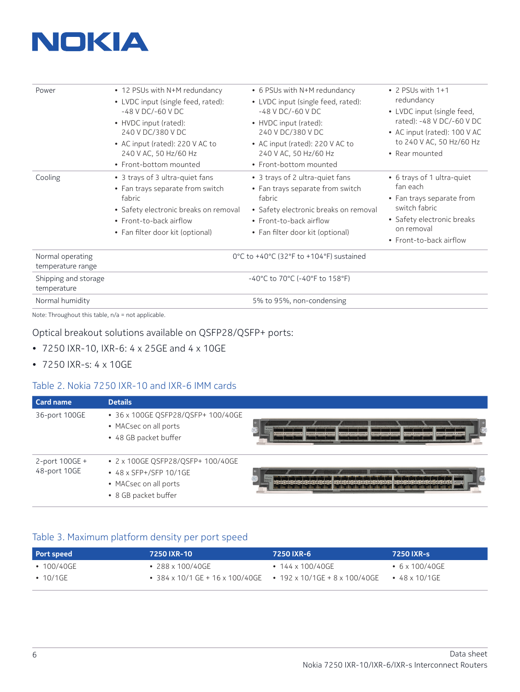

| Power                                 | • 12 PSUs with N+M redundancy<br>• LVDC input (single feed, rated):<br>$-48$ V DC/ $-60$ V DC<br>• HVDC input (rated):<br>240 V DC/380 V DC<br>• AC input (rated): 220 V AC to<br>240 V AC, 50 Hz/60 Hz<br>• Front-bottom mounted | • 6 PSUs with N+M redundancy<br>• LVDC input (single feed, rated):<br>$-48$ V DC/ $-60$ V DC<br>• HVDC input (rated):<br>240 V DC/380 V DC<br>• AC input (rated): 220 V AC to<br>240 V AC, 50 Hz/60 Hz<br>• Front-bottom mounted | $\bullet$ 2 PSUs with 1+1<br>redundancy<br>• LVDC input (single feed,<br>rated): -48 V DC/-60 V DC<br>• AC input (rated): 100 V AC<br>to 240 V AC, 50 Hz/60 Hz<br>• Rear mounted |  |  |
|---------------------------------------|-----------------------------------------------------------------------------------------------------------------------------------------------------------------------------------------------------------------------------------|----------------------------------------------------------------------------------------------------------------------------------------------------------------------------------------------------------------------------------|----------------------------------------------------------------------------------------------------------------------------------------------------------------------------------|--|--|
| Cooling                               | • 3 trays of 3 ultra-quiet fans<br>• Fan trays separate from switch<br>fabric<br>• Safety electronic breaks on removal<br>• Front-to-back airflow<br>• Fan filter door kit (optional)                                             | • 3 trays of 2 ultra-quiet fans<br>• Fan trays separate from switch<br>fabric<br>• Safety electronic breaks on removal<br>• Front-to-back airflow<br>• Fan filter door kit (optional)                                            | • 6 trays of 1 ultra-quiet<br>fan each<br>• Fan trays separate from<br>switch fabric<br>• Safety electronic breaks<br>on removal<br>• Front-to-back airflow                      |  |  |
| Normal operating<br>temperature range | $0^{\circ}$ C to +40 $^{\circ}$ C (32 $^{\circ}$ F to +104 $^{\circ}$ F) sustained                                                                                                                                                |                                                                                                                                                                                                                                  |                                                                                                                                                                                  |  |  |
| Shipping and storage<br>temperature   | $-40^{\circ}$ C to 70 $^{\circ}$ C (-40 $^{\circ}$ F to 158 $^{\circ}$ F)                                                                                                                                                         |                                                                                                                                                                                                                                  |                                                                                                                                                                                  |  |  |
| Normal humidity                       | 5% to 95%, non-condensing                                                                                                                                                                                                         |                                                                                                                                                                                                                                  |                                                                                                                                                                                  |  |  |

Note: Throughout this table, n/a = not applicable.

### Optical breakout solutions available on QSFP28/QSFP+ ports:

- 7250 IXR-10, IXR-6: 4 x 25GE and 4 x 10GE
- 7250 IXR-s: 4 x 10GE

#### Table 2. Nokia 7250 IXR-10 and IXR-6 IMM cards

| <b>Card name</b>               | <b>Details</b>                                                                                               |                                                                                                                                                                                                                   |
|--------------------------------|--------------------------------------------------------------------------------------------------------------|-------------------------------------------------------------------------------------------------------------------------------------------------------------------------------------------------------------------|
| 36-port 100GE                  | • 36 x 100GE OSFP28/OSFP+ 100/40GE<br>• MACsec on all ports<br>• 48 GB packet buffer                         | <b>Construct Milenson as Milenson II</b><br>Chevenda Chevendi House<br><b>INSURANCE &amp; REVOLUE &amp; RUNDERS</b><br>ASSESSMENT ASSESSMENT<br>ASSIST ASSIST ASSIST<br>ASSES ASSES ASSES<br>ADDIEY ADDIEY ADDIEY |
| 2-port 100GE +<br>48-port 10GE | • 2 x 100GE QSFP28/QSFP+ 100/40GE<br>• 48 x SFP+/SFP 10/1GE<br>• MACsec on all ports<br>• 8 GB packet buffer |                                                                                                                                                                                                                   |

#### Table 3. Maximum platform density per port speed

| Port speed       | 7250 IXR-10                                                                                  | 7250 IXR-6             | 7250 IXR-s             |
|------------------|----------------------------------------------------------------------------------------------|------------------------|------------------------|
| $\cdot$ 100/40GE | $\cdot$ 288 x 100/40GE                                                                       | $\cdot$ 144 x 100/40GE | • $6 \times 100/40$ GE |
| • 10/1GE         | • $384 \times 10/1$ GE + $16 \times 100/40$ GE • $192 \times 10/1$ GE + $8 \times 100/40$ GE |                        | $\bullet$ 48 x 10/1GF  |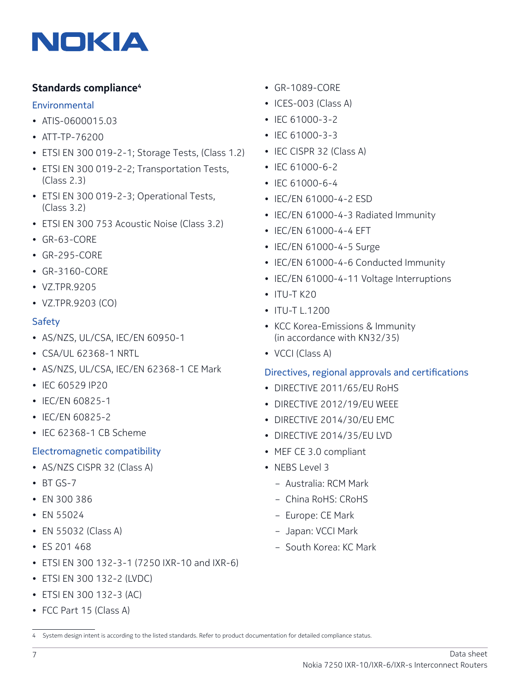

### **Standards compliance4**

#### Environmental

- ATIS-0600015.03
- ATT-TP-76200
- ETSI EN 300 019-2-1; Storage Tests, (Class 1.2)
- ETSI EN 300 019-2-2; Transportation Tests, (Class 2.3)
- ETSI EN 300 019-2-3; Operational Tests, (Class 3.2)
- ETSI EN 300 753 Acoustic Noise (Class 3.2)
- GR-63-CORE
- GR-295-CORE
- GR-3160-CORE
- VZ.TPR.9205
- VZ.TPR.9203 (CO)

#### Safety

- AS/NZS, UL/CSA, IEC/EN 60950-1
- CSA/UL 62368-1 NRTL
- AS/NZS, UL/CSA, IEC/EN 62368-1 CE Mark
- IEC 60529 IP20
- IEC/EN 60825-1
- IEC/EN 60825-2
- IEC 62368-1 CB Scheme

### Electromagnetic compatibility

- AS/NZS CISPR 32 (Class A)
- BT GS-7
- EN 300 386
- EN 55024
- EN 55032 (Class A)
- ES 201 468
- ETSI EN 300 132-3-1 (7250 IXR-10 and IXR-6)
- ETSI EN 300 132-2 (LVDC)
- ETSI EN 300 132-3 (AC)
- FCC Part 15 (Class A)
- GR-1089-CORE
- ICES-003 (Class A)
- IEC 61000-3-2
- IEC 61000-3-3
- IEC CISPR 32 (Class A)
- IEC 61000-6-2
- IEC 61000-6-4
- IEC/EN 61000-4-2 ESD
- IEC/EN 61000-4-3 Radiated Immunity
- IEC/EN 61000-4-4 EFT
- IEC/EN 61000-4-5 Surge
- IEC/EN 61000-4-6 Conducted Immunity
- IEC/EN 61000-4-11 Voltage Interruptions
- $\cdot$  ITU-T K20
- ITU-T L.1200
- KCC Korea-Emissions & Immunity (in accordance with KN32/35)
- VCCI (Class A)

### Directives, regional approvals and certifications

- DIRECTIVE 2011/65/EU RoHS
- DIRECTIVE 2012/19/EU WEEE
- DIRECTIVE 2014/30/EU EMC
- DIRECTIVE 2014/35/EU LVD
- MEF CE 3.0 compliant
- NEBS Level 3
	- Australia: RCM Mark
	- China RoHS: CRoHS
	- Europe: CE Mark
	- Japan: VCCI Mark
	- South Korea: KC Mark

<sup>4</sup> System design intent is according to the listed standards. Refer to product documentation for detailed compliance status.